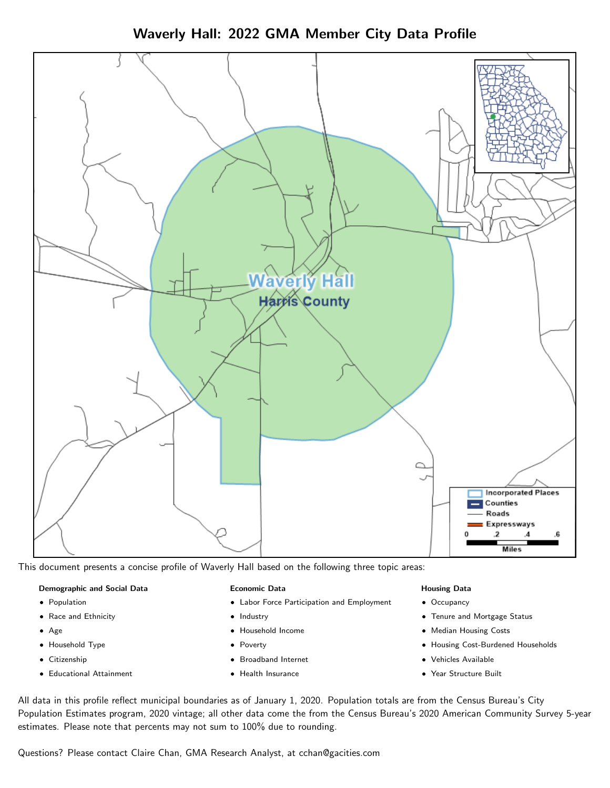Waverly Hall: 2022 GMA Member City Data Profile



This document presents a concise profile of Waverly Hall based on the following three topic areas:

#### Demographic and Social Data

- **•** Population
- Race and Ethnicity
- Age
- Household Type
- **Citizenship**
- Educational Attainment

#### Economic Data

- Labor Force Participation and Employment
- Industry
- Household Income
- Poverty
- Broadband Internet
- Health Insurance

#### Housing Data

- Occupancy
- Tenure and Mortgage Status
- Median Housing Costs
- Housing Cost-Burdened Households
- Vehicles Available
- $\bullet$ Year Structure Built

All data in this profile reflect municipal boundaries as of January 1, 2020. Population totals are from the Census Bureau's City Population Estimates program, 2020 vintage; all other data come the from the Census Bureau's 2020 American Community Survey 5-year estimates. Please note that percents may not sum to 100% due to rounding.

Questions? Please contact Claire Chan, GMA Research Analyst, at [cchan@gacities.com.](mailto:cchan@gacities.com)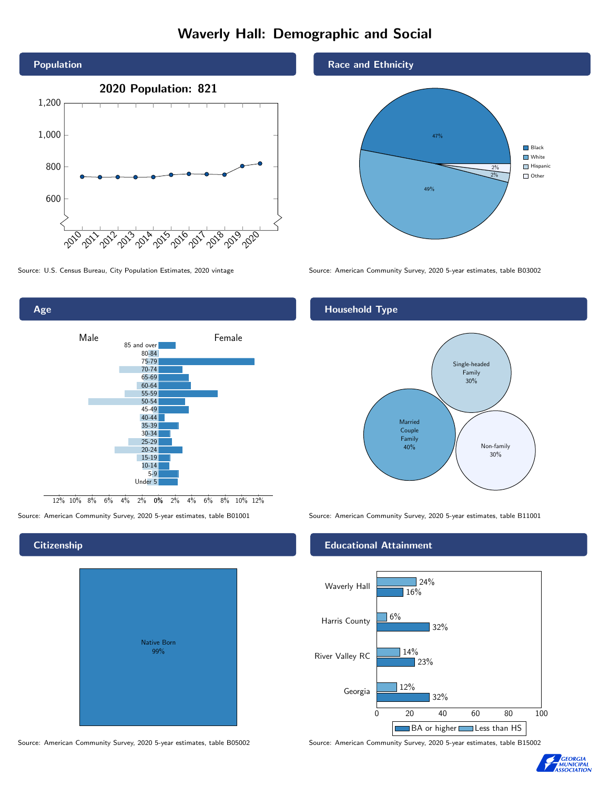# Waverly Hall: Demographic and Social





Source: American Community Survey, 2020 5-year estimates, table B01001 Source: American Community Survey, 2020 5-year estimates, table B11001

## **Citizenship**

| Native Born<br>99% |  |
|--------------------|--|

Source: American Community Survey, 2020 5-year estimates, table B05002 Source: American Community Survey, 2020 5-year estimates, table B15002

## Race and Ethnicity



Source: U.S. Census Bureau, City Population Estimates, 2020 vintage Source: American Community Survey, 2020 5-year estimates, table B03002

## Household Type



### Educational Attainment



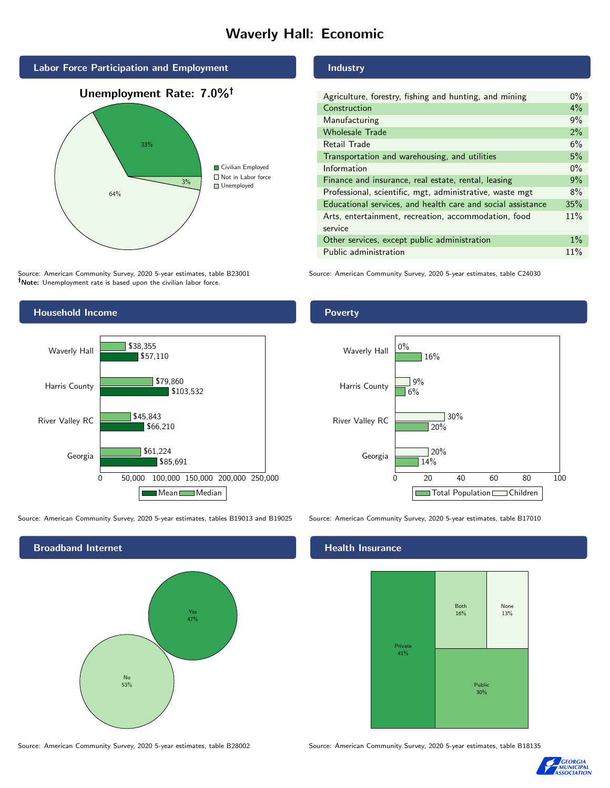# Waverly Hall: Economic



Source: American Community Survey, 2020 5-year estimates, table B23001 Note: Unemployment rate is based upon the civilian labor force.



Source: American Community Survey, 2020 5-year estimates, tables B19013 and B19025 Source: American Community Survey, 2020 5-year estimates, table B17010

Broadband Internet No 53% Yes 47%

Source: American Community Survey, 2020 5-year estimates, table B28002 Source: American Community Survey, 2020 5-year estimates, table B18135

Industry

| Agriculture, forestry, fishing and hunting, and mining      | $0\%$ |
|-------------------------------------------------------------|-------|
| Construction                                                | $4\%$ |
| Manufacturing                                               | 9%    |
| <b>Wholesale Trade</b>                                      | 2%    |
| Retail Trade                                                | 6%    |
| Transportation and warehousing, and utilities               |       |
| Information                                                 | $0\%$ |
| Finance and insurance, real estate, rental, leasing         |       |
| Professional, scientific, mgt, administrative, waste mgt    |       |
| Educational services, and health care and social assistance | 35%   |
| Arts, entertainment, recreation, accommodation, food        |       |
| service                                                     |       |
| Other services, except public administration                |       |
| Public administration                                       | 11%   |

Source: American Community Survey, 2020 5-year estimates, table C24030



#### Health Insurance





## Poverty